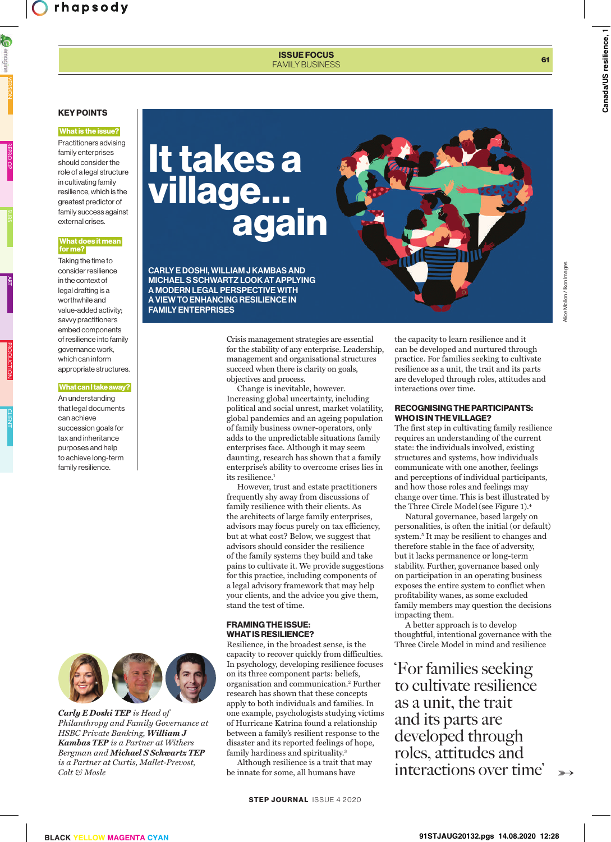## ISSUE FOCUS FAMILY BUSINESS **61**

# KEY POINTS

#### What is the issue?

Practitioners advising family enterprises should consider the role of a legal structure in cultivating family resilience, which is the greatest predictor of family success against external crises.

### What does it mean for me?

Taking the time to consider resilience in the context of legal drafting is a worthwhile and value-added activity; savvy practitioners embed components of resilience into family governance work, which can inform appropriate structures.

#### What can I take away?

An understanding that legal documents can achieve succession goals for tax and inheritance purposes and help to achieve long-term family resilience.



*Carly E Doshi TEP is Head of Philanthropy and Family Governance at HSBC Private Banking, William J Kambas TEP is a Partner at Withers Bergman and Michael S Schwartz TEP is a Partner at Curtis, Mallet-Prevost, Colt & Mosle* 

# It takes a village… again

CARLY E DOSHI, WILLIAM J KAMBAS AND MICHAEL S SCHWARTZ LOOK AT APPLYING A MODERN LEGAL PERSPECTIVE WITH A VIEW TO ENHANCING RESILIENCE IN FAMILY ENTERPRISES

> Crisis management strategies are essential for the stability of any enterprise. Leadership, management and organisational structures succeed when there is clarity on goals, objectives and process.

> Change is inevitable, however. Increasing global uncertainty, including political and social unrest, market volatility, global pandemics and an ageing population of family business owner-operators, only adds to the unpredictable situations family enterprises face. Although it may seem daunting, research has shown that a family enterprise's ability to overcome crises lies in its resilience.<sup>1</sup>

> However, trust and estate practitioners frequently shy away from discussions of family resilience with their clients. As the architects of large family enterprises, advisors may focus purely on tax efficiency, but at what cost? Below, we suggest that advisors should consider the resilience of the family systems they build and take pains to cultivate it. We provide suggestions for this practice, including components of a legal advisory framework that may help your clients, and the advice you give them, stand the test of time.

## FRAMING THE ISSUE: WHAT IS RESILIENCE?

Resilience, in the broadest sense, is the capacity to recover quickly from difficulties. In psychology, developing resilience focuses on its three component parts: beliefs, organisation and communication.<sup>2</sup> Further research has shown that these concepts apply to both individuals and families. In one example, psychologists studying victims of Hurricane Katrina found a relationship between a family's resilient response to the disaster and its reported feelings of hope, family hardiness and spirituality.<sup>3</sup>

Although resilience is a trait that may be innate for some, all humans have

the capacity to learn resilience and it can be developed and nurtured through practice. For families seeking to cultivate resilience as a unit, the trait and its parts are developed through roles, attitudes and interactions over time.

## RECOGNISING THE PARTICIPANTS: WHO IS IN THE VILLAGE?

The first step in cultivating family resilience requires an understanding of the current state: the individuals involved, existing structures and systems, how individuals communicate with one another, feelings and perceptions of individual participants, and how those roles and feelings may change over time. This is best illustrated by the Three Circle Model(see Figure 1).<sup>4</sup>

Natural governance, based largely on personalities, is often the initial (or default) system.<sup>5</sup> It may be resilient to changes and therefore stable in the face of adversity, but it lacks permanence or long-term stability. Further, governance based only on participation in an operating business exposes the entire system to conflict when profitability wanes, as some excluded family members may question the decisions impacting them.

A better approach is to develop thoughtful, intentional governance with the Three Circle Model in mind and resilience

'For families seeking to cultivate resilience as a unit, the trait and its parts are developed through roles, attitudes and interactions over time'

➳